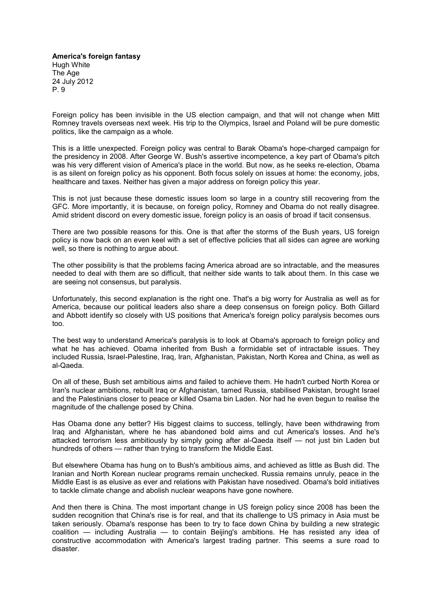**America's foreign fantasy** Hugh White The Age 24 July 2012 P. 9

Foreign policy has been invisible in the US election campaign, and that will not change when Mitt Romney travels overseas next week. His trip to the Olympics, Israel and Poland will be pure domestic politics, like the campaign as a whole.

This is a little unexpected. Foreign policy was central to Barak Obama's hope-charged campaign for the presidency in 2008. After George W. Bush's assertive incompetence, a key part of Obama's pitch was his very different vision of America's place in the world. But now, as he seeks re-election, Obama is as silent on foreign policy as his opponent. Both focus solely on issues at home: the economy, jobs, healthcare and taxes. Neither has given a major address on foreign policy this year.

This is not just because these domestic issues loom so large in a country still recovering from the GFC. More importantly, it is because, on foreign policy, Romney and Obama do not really disagree. Amid strident discord on every domestic issue, foreign policy is an oasis of broad if tacit consensus.

There are two possible reasons for this. One is that after the storms of the Bush years, US foreign policy is now back on an even keel with a set of effective policies that all sides can agree are working well, so there is nothing to argue about.

The other possibility is that the problems facing America abroad are so intractable, and the measures needed to deal with them are so difficult, that neither side wants to talk about them. In this case we are seeing not consensus, but paralysis.

Unfortunately, this second explanation is the right one. That's a big worry for Australia as well as for America, because our political leaders also share a deep consensus on foreign policy. Both Gillard and Abbott identify so closely with US positions that America's foreign policy paralysis becomes ours too.

The best way to understand America's paralysis is to look at Obama's approach to foreign policy and what he has achieved. Obama inherited from Bush a formidable set of intractable issues. They included Russia, Israel-Palestine, Iraq, Iran, Afghanistan, Pakistan, North Korea and China, as well as al-Qaeda.

On all of these, Bush set ambitious aims and failed to achieve them. He hadn't curbed North Korea or Iran's nuclear ambitions, rebuilt Iraq or Afghanistan, tamed Russia, stabilised Pakistan, brought Israel and the Palestinians closer to peace or killed Osama bin Laden. Nor had he even begun to realise the magnitude of the challenge posed by China.

Has Obama done any better? His biggest claims to success, tellingly, have been withdrawing from Iraq and Afghanistan, where he has abandoned bold aims and cut America's losses. And he's attacked terrorism less ambitiously by simply going after al-Qaeda itself — not just bin Laden but hundreds of others — rather than trying to transform the Middle East.

But elsewhere Obama has hung on to Bush's ambitious aims, and achieved as little as Bush did. The Iranian and North Korean nuclear programs remain unchecked. Russia remains unruly, peace in the Middle East is as elusive as ever and relations with Pakistan have nosedived. Obama's bold initiatives to tackle climate change and abolish nuclear weapons have gone nowhere.

And then there is China. The most important change in US foreign policy since 2008 has been the sudden recognition that China's rise is for real, and that its challenge to US primacy in Asia must be taken seriously. Obama's response has been to try to face down China by building a new strategic coalition — including Australia — to contain Beijing's ambitions. He has resisted any idea of constructive accommodation with America's largest trading partner. This seems a sure road to disaster.